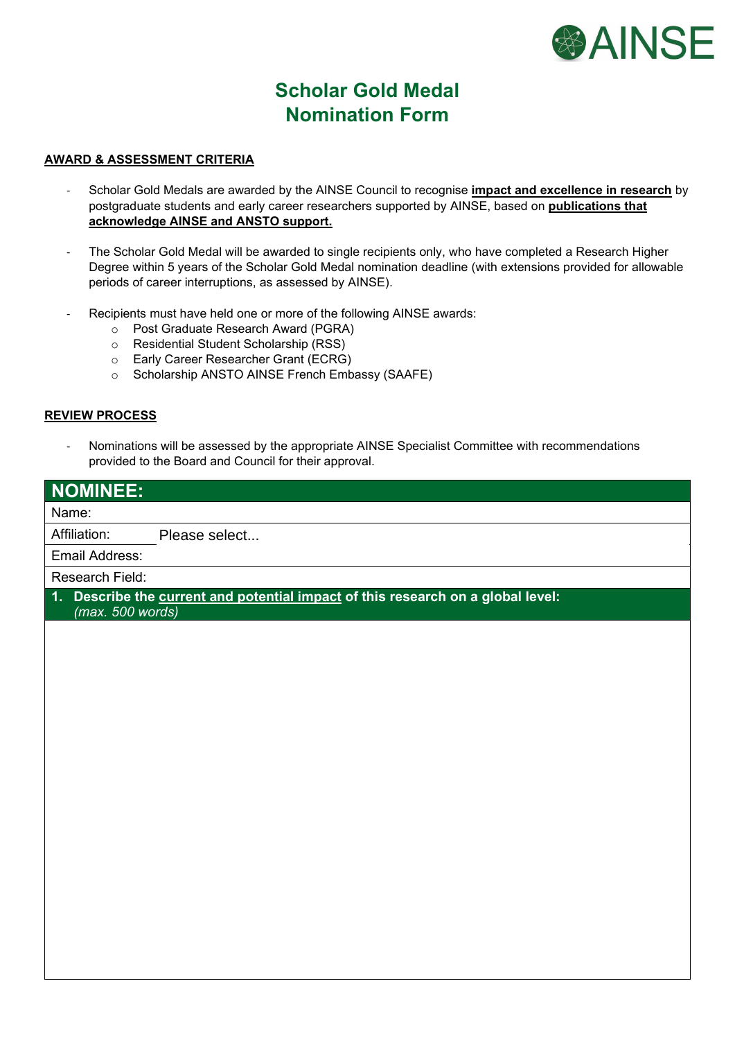

## **Scholar Gold Medal Nomination Form**

## **AWARD & ASSESSMENT CRITERIA**

- Scholar Gold Medals are awarded by the AINSE Council to recognise **impact and excellence in research** by postgraduate students and early career researchers supported by AINSE, based on **publications that acknowledge AINSE and ANSTO support.**
- The Scholar Gold Medal will be awarded to single recipients only, who have completed a Research Higher Degree within 5 years of the Scholar Gold Medal nomination deadline (with extensions provided for allowable periods of career interruptions, as assessed by AINSE).
- Recipients must have held one or more of the following AINSE awards:
	- o Post Graduate Research Award (PGRA)
	- o Residential Student Scholarship (RSS)
	- o Early Career Researcher Grant (ECRG)
	- o Scholarship ANSTO AINSE French Embassy (SAAFE)

## **REVIEW PROCESS**

- Nominations will be assessed by the appropriate AINSE Specialist Committee with recommendations provided to the Board and Council for their approval.

| <b>NOMINEE:</b>                                                                                                     |               |  |  |  |
|---------------------------------------------------------------------------------------------------------------------|---------------|--|--|--|
| Name:                                                                                                               |               |  |  |  |
| Affiliation:                                                                                                        | Please select |  |  |  |
| Email Address:                                                                                                      |               |  |  |  |
| <b>Research Field:</b>                                                                                              |               |  |  |  |
| Describe the current and potential impact of this research on a global level:<br>$\mathbf{1}$ .<br>(max. 500 words) |               |  |  |  |
|                                                                                                                     |               |  |  |  |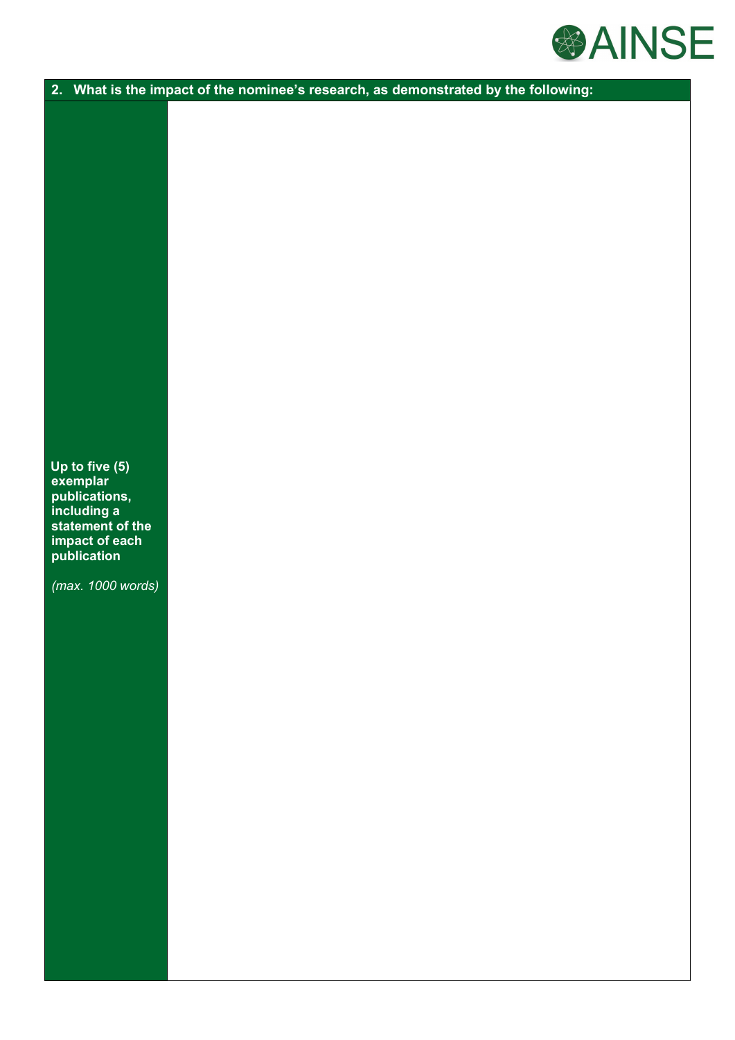

**2. What is the impact of the nominee's research, as demonstrated by the following:**

**exemplar publications, including a statement of the impact of each publication Up to five (5)** 

*(max. 1000 words)*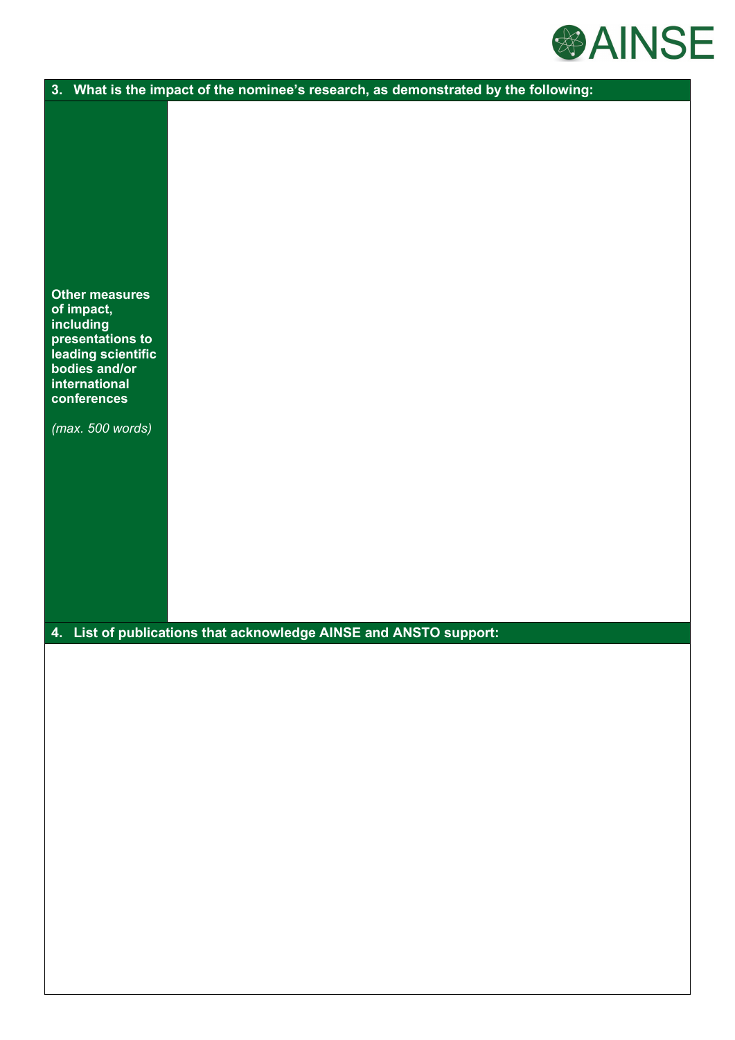